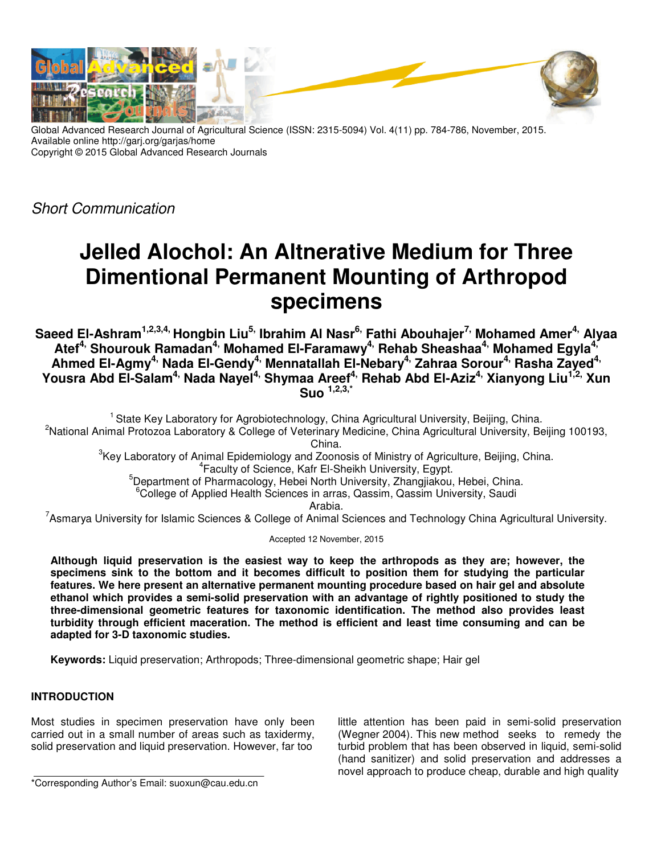

Global Advanced Research Journal of Agricultural Science (ISSN: 2315-5094) Vol. 4(11) pp. 784-786, November, 2015. Available online http://garj.org/garjas/home Copyright © 2015 Global Advanced Research Journals

Short Communication

# **Jelled Alochol: An Altnerative Medium for Three Dimentional Permanent Mounting of Arthropod specimens**

**Saeed El-Ashram1,2,3,4, Hongbin Liu5, Ibrahim Al Nasr6, Fathi Abouhajer7, Mohamed Amer4, Alyaa Atef4, Shourouk Ramadan4, Mohamed El-Faramawy4, Rehab Sheashaa4, Mohamed Egyla4, Ahmed El-Agmy4, Nada El-Gendy4, Mennatallah El-Nebary4, Zahraa Sorour4, Rasha Zayed4, Yousra Abd El-Salam4, Nada Nayel4, Shymaa Areef4, Rehab Abd El-Aziz4, Xianyong Liu1,2, Xun Suo 1,2,3,\***

<sup>1</sup> State Key Laboratory for Agrobiotechnology, China Agricultural University, Beijing, China. <sup>2</sup>National Animal Protozoa Laboratory & College of Veterinary Medicine, China Agricultural University, Beijing 100193, China.

 ${}^{3}$ Key Laboratory of Animal Epidemiology and Zoonosis of Ministry of Agriculture, Beijing, China. 4 Faculty of Science, Kafr El-Sheikh University, Egypt.

<sup>5</sup>Department of Pharmacology, Hebei North University, Zhangjiakou, Hebei, China.

<sup>6</sup>College of Applied Health Sciences in arras, Qassim, Qassim University, Saudi

Arabia.

<sup>7</sup>Asmarya University for Islamic Sciences & College of Animal Sciences and Technology China Agricultural University.

Accepted 12 November, 2015

**Although liquid preservation is the easiest way to keep the arthropods as they are; however, the specimens sink to the bottom and it becomes difficult to position them for studying the particular features. We here present an alternative permanent mounting procedure based on hair gel and absolute ethanol which provides a semi-solid preservation with an advantage of rightly positioned to study the three-dimensional geometric features for taxonomic identification. The method also provides least turbidity through efficient maceration. The method is efficient and least time consuming and can be adapted for 3-D taxonomic studies.** 

**Keywords:** Liquid preservation; Arthropods; Three-dimensional geometric shape; Hair gel

# **INTRODUCTION**

Most studies in specimen preservation have only been carried out in a small number of areas such as taxidermy, solid preservation and liquid preservation. However, far too

little attention has been paid in semi-solid preservation (Wegner 2004). This new method seeks to remedy the turbid problem that has been observed in liquid, semi-solid (hand sanitizer) and solid preservation and addresses a novel approach to produce cheap, durable and high quality

<sup>\*</sup>Corresponding Author's Email: suoxun@cau.edu.cn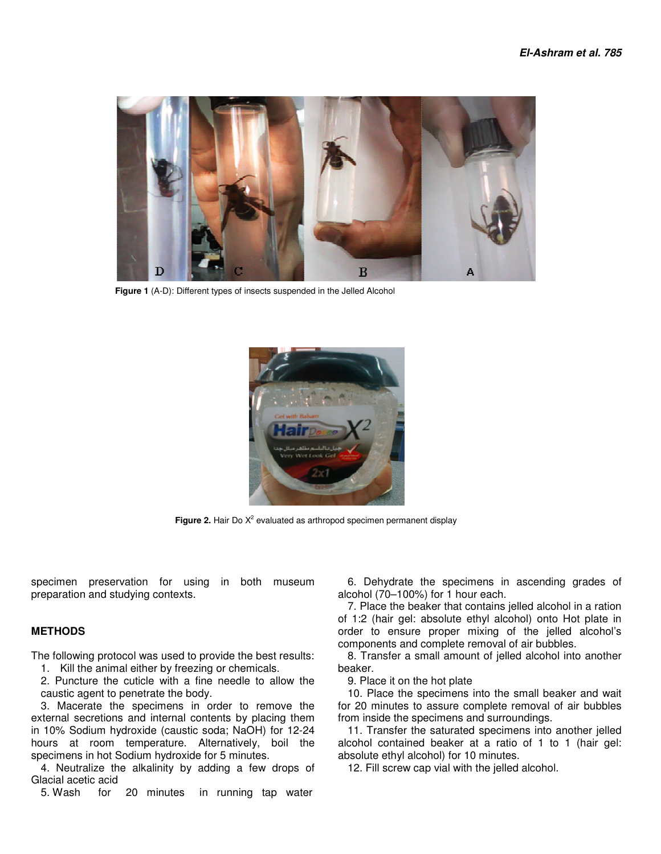

 **Figure 1** (A-D): Different types of insects suspended in the Jelled Alcohol



**Figure 2.** Hair Do  $X^2$  evaluated as arthropod specimen permanent display

specimen preservation for using in both museum preparation and studying contexts.

## **METHODS**

The following protocol was used to provide the best results:

1. Kill the animal either by freezing or chemicals.

2. Puncture the cuticle with a fine needle to allow the caustic agent to penetrate the body.

3. Macerate the specimens in order to remove the external secretions and internal contents by placing them in 10% Sodium hydroxide (caustic soda; NaOH) for 12-24 hours at room temperature. Alternatively, boil the specimens in hot Sodium hydroxide for 5 minutes.

4. Neutralize the alkalinity by adding a few drops of Glacial acetic acid<br>5 Wash for

for 20 minutes in running tap water

6. Dehydrate the specimens in ascending grades of alcohol (70–100%) for 1 hour each.

7. Place the beaker that contains jelled alcohol in a ration of 1:2 (hair gel: absolute ethyl alcohol) onto Hot plate in order to ensure proper mixing of the jelled alcohol's components and complete removal of air bubbles.

8. Transfer a small amount of jelled alcohol into another beaker.

9. Place it on the hot plate

10. Place the specimens into the small beaker and wait for 20 minutes to assure complete removal of air bubbles from inside the specimens and surroundings.

11. Transfer the saturated specimens into another jelled alcohol contained beaker at a ratio of 1 to 1 (hair gel: absolute ethyl alcohol) for 10 minutes.

12. Fill screw cap vial with the jelled alcohol.